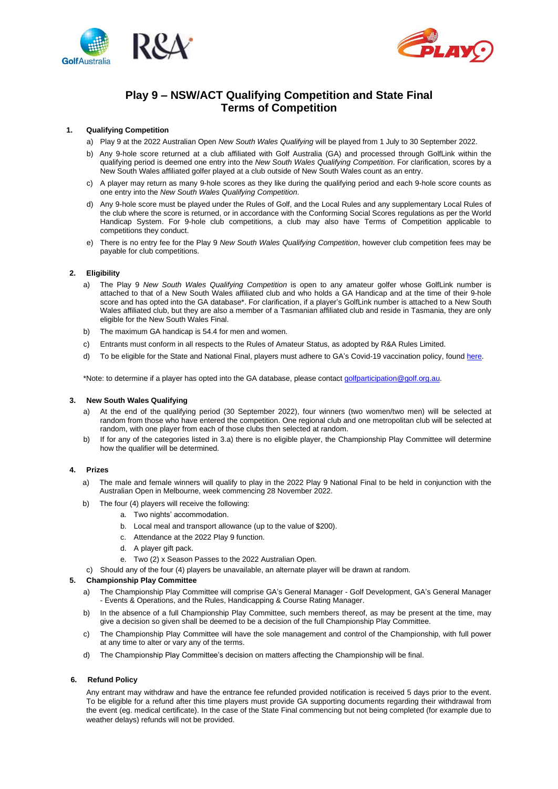



# **Play 9 – NSW/ACT Qualifying Competition and State Final Terms of Competition**

## **1. Qualifying Competition**

- a) Play 9 at the 2022 Australian Open *New South Wales Qualifying* will be played from 1 July to 30 September 2022.
- b) Any 9-hole score returned at a club affiliated with Golf Australia (GA) and processed through GolfLink within the qualifying period is deemed one entry into the *New South Wales Qualifying Competition*. For clarification, scores by a New South Wales affiliated golfer played at a club outside of New South Wales count as an entry.
- c) A player may return as many 9-hole scores as they like during the qualifying period and each 9-hole score counts as one entry into the *New South Wales Qualifying Competition*.
- d) Any 9-hole score must be played under the Rules of Golf, and the Local Rules and any supplementary Local Rules of the club where the score is returned, or in accordance with the Conforming Social Scores regulations as per the World Handicap System. For 9-hole club competitions, a club may also have Terms of Competition applicable to competitions they conduct.
- e) There is no entry fee for the Play 9 *New South Wales Qualifying Competition*, however club competition fees may be payable for club competitions.

# **2. Eligibility**

- a) The Play 9 *New South Wales Qualifying Competition* is open to any amateur golfer whose GolfLink number is attached to that of a New South Wales affiliated club and who holds a GA Handicap and at the time of their 9-hole score and has opted into the GA database\*. For clarification, if a player's GolfLink number is attached to a New South Wales affiliated club, but they are also a member of a Tasmanian affiliated club and reside in Tasmania, they are only eligible for the New South Wales Final.
- b) The maximum GA handicap is 54.4 for men and women.
- c) Entrants must conform in all respects to the Rules of Amateur Status, as adopted by R&A Rules Limited.
- d) To be eligible for the State and National Final, players must adhere to GA's Covid-19 vaccination policy, foun[d here.](https://www.golf.org.au/events-statement)

\*Note: to determine if a player has opted into the GA database, please contac[t golfparticipation@golf.org.au.](mailto:golfparticipation@golf.org.au)

# **3. New South Wales Qualifying**

- a) At the end of the qualifying period (30 September 2022), four winners (two women/two men) will be selected at random from those who have entered the competition. One regional club and one metropolitan club will be selected at random, with one player from each of those clubs then selected at random.
- b) If for any of the categories listed in 3.a) there is no eligible player, the Championship Play Committee will determine how the qualifier will be determined.

# **4. Prizes**

- a) The male and female winners will qualify to play in the 2022 Play 9 National Final to be held in conjunction with the Australian Open in Melbourne, week commencing 28 November 2022.
- b) The four (4) players will receive the following:
	- a. Two nights' accommodation.
	- b. Local meal and transport allowance (up to the value of \$200).
	- c. Attendance at the 2022 Play 9 function.
	- d. A player gift pack.
	- e. Two (2) x Season Passes to the 2022 Australian Open.
- c) Should any of the four (4) players be unavailable, an alternate player will be drawn at random.

# **5. Championship Play Committee**

- a) The Championship Play Committee will comprise GA's General Manager Golf Development, GA's General Manager - Events & Operations, and the Rules, Handicapping & Course Rating Manager.
- b) In the absence of a full Championship Play Committee, such members thereof, as may be present at the time, may give a decision so given shall be deemed to be a decision of the full Championship Play Committee.
- c) The Championship Play Committee will have the sole management and control of the Championship, with full power at any time to alter or vary any of the terms.
- d) The Championship Play Committee's decision on matters affecting the Championship will be final.

#### **6. Refund Policy**

Any entrant may withdraw and have the entrance fee refunded provided notification is received 5 days prior to the event. To be eligible for a refund after this time players must provide GA supporting documents regarding their withdrawal from the event (eg. medical certificate). In the case of the State Final commencing but not being completed (for example due to weather delays) refunds will not be provided.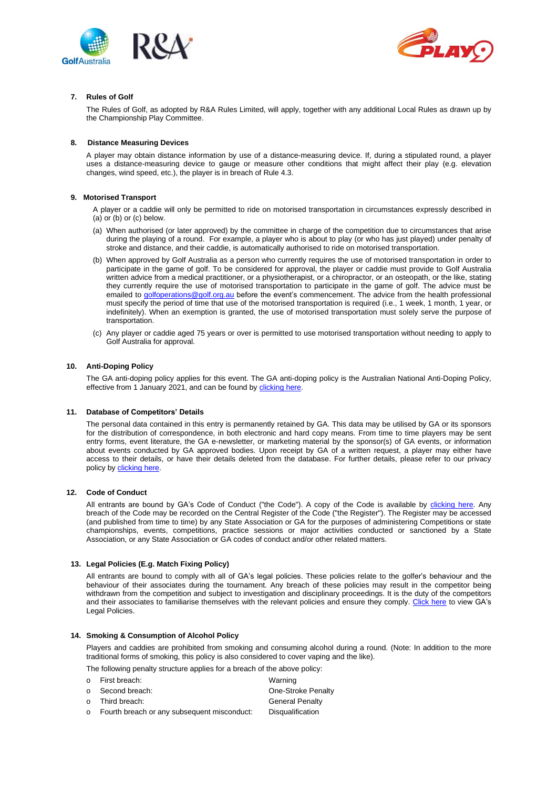



# **7. Rules of Golf**

The Rules of Golf, as adopted by R&A Rules Limited, will apply, together with any additional Local Rules as drawn up by the Championship Play Committee.

## **8. Distance Measuring Devices**

A player may obtain distance information by use of a distance-measuring device. If, during a stipulated round, a player uses a distance-measuring device to gauge or measure other conditions that might affect their play (e.g. elevation changes, wind speed, etc.), the player is in breach of Rule 4.3.

## **9. Motorised Transport**

- A player or a caddie will only be permitted to ride on motorised transportation in circumstances expressly described in (a) or (b) or (c) below.
- (a) When authorised (or later approved) by the committee in charge of the competition due to circumstances that arise during the playing of a round. For example, a player who is about to play (or who has just played) under penalty of stroke and distance, and their caddie, is automatically authorised to ride on motorised transportation.
- (b) When approved by Golf Australia as a person who currently requires the use of motorised transportation in order to participate in the game of golf. To be considered for approval, the player or caddie must provide to Golf Australia written advice from a medical practitioner, or a physiotherapist, or a chiropractor, or an osteopath, or the like, stating they currently require the use of motorised transportation to participate in the game of golf. The advice must be emailed t[o golfoperations@golf.org.au](mailto:golfoperations@golf.org.au) before the event's commencement. The advice from the health professional must specify the period of time that use of the motorised transportation is required (i.e., 1 week, 1 month, 1 year, or indefinitely). When an exemption is granted, the use of motorised transportation must solely serve the purpose of transportation.
- (c) Any player or caddie aged 75 years or over is permitted to use motorised transportation without needing to apply to Golf Australia for approval.

## **10. Anti-Doping Policy**

The GA anti-doping policy applies for this event. The GA anti-doping policy is the Australian National Anti-Doping Policy, effective from 1 January 2021, and can be found by [clicking here.](https://www.golf.org.au/competitionpolicies)

#### **11. Database of Competitors' Details**

The personal data contained in this entry is permanently retained by GA. This data may be utilised by GA or its sponsors for the distribution of correspondence, in both electronic and hard copy means. From time to time players may be sent entry forms, event literature, the GA e-newsletter, or marketing material by the sponsor(s) of GA events, or information about events conducted by GA approved bodies. Upon receipt by GA of a written request, a player may either have access to their details, or have their details deleted from the database. For further details, please refer to our privacy policy b[y clicking](https://www.golf.org.au/privacy-policy/) here.

### **12. Code of Conduct**

All entrants are bound by GA's Code of Conduct ("the Code"). A copy of the Code is available by [clicking here.](https://assets.ctfassets.net/3urhge2ecl20/40SKEhoS0SF0a3OfM1Qfgl/48333db9e79062de3b380902b397b698/00040015-source.pdf) Any breach of the Code may be recorded on the Central Register of the Code ("the Register"). The Register may be accessed (and published from time to time) by any State Association or GA for the purposes of administering Competitions or state championships, events, competitions, practice sessions or major activities conducted or sanctioned by a State Association, or any State Association or GA codes of conduct and/or other related matters.

# **13. Legal Policies (E.g. Match Fixing Policy)**

All entrants are bound to comply with all of GA's legal policies. These policies relate to the golfer's behaviour and the behaviour of their associates during the tournament. Any breach of these policies may result in the competitor being withdrawn from the competition and subject to investigation and disciplinary proceedings. It is the duty of the competitors and their associates to familiarise themselves with the relevant policies and ensure they comply. [Click here](https://assets.ctfassets.net/3urhge2ecl20/EW2qYQ64Ac1TxvkGnT6aL/11eb2e2ad18b9909b542cc8ebbf8fb91/00029860-source.pdf) to view GA's Legal Policies.

#### **14. Smoking & Consumption of Alcohol Policy**

Players and caddies are prohibited from smoking and consuming alcohol during a round. (Note: In addition to the more traditional forms of smoking, this policy is also considered to cover vaping and the like).

The following penalty structure applies for a breach of the above policy:

| o First breach:                               | Warning                |
|-----------------------------------------------|------------------------|
| o Second breach:                              | One-Stroke Penalty     |
| o Third breach:                               | <b>General Penalty</b> |
| o Fourth breach or any subsequent misconduct: | Disqualification       |